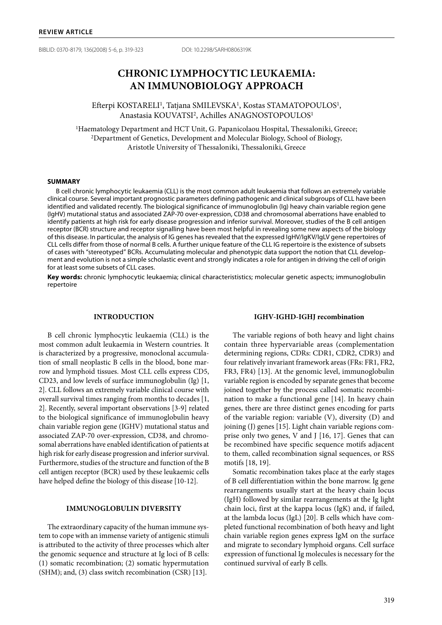BIBLID: 0370-8179, 136(2008) 5-6, p. 319-323 DOI: 10.2298/SARH0806319K

# **CHRONIC LYMPHOCYTIC LEUKAEMIA: AN IMMUNOBIOLOGY APPROACH**

Efterpi KOSTARELI<sup>1</sup>, Tatjana SMILEVSKA<sup>1</sup>, Kostas STAMATOPOULOS<sup>1</sup>, Anastasia KOUVATSI2, Achilles ANAGNOSTOPOULOS1

<sup>1</sup>Haematology Department and HCT Unit, G. Papanicolaou Hospital, Thessaloniki, Greece; <sup>2</sup>Department of Genetics, Development and Molecular Biology, School of Biology, Aristotle University of Thessaloniki, Thessaloniki, Greece

#### **SUMMARY**

B cell chronic lymphocytic leukaemia (CLL) is the most common adult leukaemia that follows an extremely variable clinical course. Several important prognostic parameters defining pathogenic and clinical subgroups of CLL have been identified and validated recently. The biological significance of immunoglobulin (Ig) heavy chain variable region gene (IgHV) mutational status and associated ZAP-70 over-expression, CD38 and chromosomal aberrations have enabled to identify patients at high risk for early disease progression and inferior survival. Moreover, studies of the B cell antigen receptor (BCR) structure and receptor signalling have been most helpful in revealing some new aspects of the biology of this disease. In particular, the analysis of IG genes has revealed that the expressed IgHV/IgKV/IgLV gene repertoires of CLL cells differ from those of normal B cells. A further unique feature of the CLL IG repertoire is the existence of subsets of cases with "stereotyped" BCRs. Accumulating molecular and phenotypic data support the notion that CLL development and evolution is not a simple scholastic event and strongly indicates a role for antigen in driving the cell of origin for at least some subsets of CLL cases.

**Key words:** chronic lymphocytic leukaemia; clinical characterististics; molecular genetic aspects; immunoglobulin repertoire

### **INTRODUCTION**

B cell chronic lymphocytic leukaemia (CLL) is the most common adult leukaemia in Western countries. It is characterized by a progressive, monoclonal accumulation of small neoplastic B cells in the blood, bone marrow and lymphoid tissues. Most CLL cells express CD5, CD23, and low levels of surface immunoglobulin (Ig) [1, 2]. CLL follows an extremely variable clinical course with overall survival times ranging from months to decades [1, 2]. Recently, several important observations [3-9] related to the biological significance of immunoglobulin heavy chain variable region gene (IGHV) mutational status and associated ZAP-70 over-expression, CD38, and chromosomal aberrations have enabled identification of patients at high risk for early disease progression and inferior survival. Furthermore, studies of the structure and function of the B cell antigen receptor (BCR) used by these leukaemic cells have helped define the biology of this disease [10-12].

# **IMMUNOGLOBULIN DIVERSITY**

The extraordinary capacity of the human immune system to cope with an immense variety of antigenic stimuli is attributed to the activity of three processes which alter the genomic sequence and structure at Ig loci of B cells: (1) somatic recombination; (2) somatic hypermutation (SHM); and, (3) class switch recombination (CSR) [13].

# **IGHV-IGHD-IGHJ recombination**

The variable regions of both heavy and light chains contain three hypervariable areas (complementation determining regions, CDRs: CDR1, CDR2, CDR3) and four relatively invariant framework areas (FRs: FR1, FR2, FR3, FR4) [13]. At the genomic level, immunoglobulin variable region is encoded by separate genes that become joined together by the process called somatic recombination to make a functional gene [14]. In heavy chain genes, there are three distinct genes encoding for parts of the variable region: variable (V), diversity (D) and joining (J) genes [15]. Light chain variable regions comprise only two genes, V and J [16, 17]. Genes that can be recombined have specific sequence motifs adjacent to them, called recombination signal sequences, or RSS motifs [18, 19].

Somatic recombination takes place at the early stages of B cell differentiation within the bone marrow. Ig gene rearrangements usually start at the heavy chain locus (IgH) followed by similar rearrangements at the Ig light chain loci, first at the kappa locus (IgK) and, if failed, at the lambda locus (IgL) [20]. B cells which have completed functional recombination of both heavy and light chain variable region genes express IgM on the surface and migrate to secondary lymphoid organs. Cell surface expression of functional Ig molecules is necessary for the continued survival of early B cells.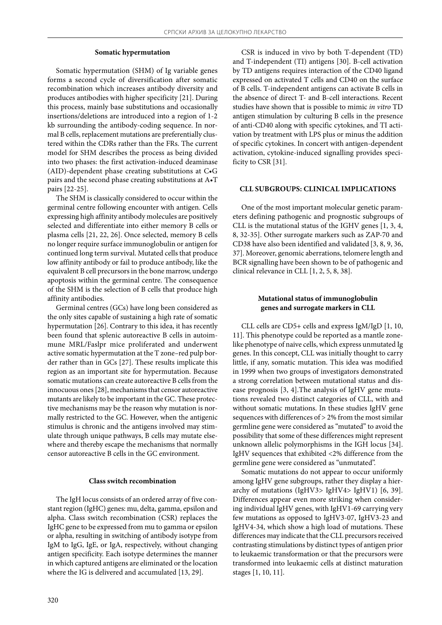### **Somatic hypermutation**

Somatic hypermutation (SHM) of Ig variable genes forms a second cycle of diversification after somatic recombination which increases antibody diversity and produces antibodies with higher specificity [21]. During this process, mainly base substitutions and occasionally insertions/deletions are introduced into a region of 1-2 kb surrounding the antibody-coding sequence. In normal B cells, replacement mutations are preferentially clustered within the CDRs rather than the FRs. The current model for SHM describes the process as being divided into two phases: the first activation-induced deaminase (AID)-dependent phase creating substitutions at C•G pairs and the second phase creating substitutions at A•T pairs [22-25].

The SHM is classically considered to occur within the germinal centre following encounter with antigen. Cells expressing high affinity antibody molecules are positively selected and differentiate into either memory B cells or plasma cells [21, 22, 26]. Once selected, memory B cells no longer require surface immunoglobulin or antigen for continued long term survival. Mutated cells that produce low affinity antibody or fail to produce antibody, like the equivalent B cell precursors in the bone marrow, undergo apoptosis within the germinal centre. The consequence of the SHM is the selection of B cells that produce high affinity antibodies.

Germinal centres (GCs) have long been considered as the only sites capable of sustaining a high rate of somatic hypermutation [26]. Contrary to this idea, it has recently been found that splenic autoreactive B cells in autoimmune MRL/Faslpr mice proliferated and underwent active somatic hypermutation at the T zone–red pulp border rather than in GCs [27]. These results implicate this region as an important site for hypermutation. Because somatic mutations can create autoreactive B cells from the innocuous ones [28], mechanisms that censor autoreactive mutants are likely to be important in the GC. These protective mechanisms may be the reason why mutation is normally restricted to the GC. However, when the antigenic stimulus is chronic and the antigens involved may stimulate through unique pathways, B cells may mutate elsewhere and thereby escape the mechanisms that normally censor autoreactive B cells in the GC environment.

### **Class switch recombination**

The IgH locus consists of an ordered array of five constant region (IgHC) genes: mu, delta, gamma, epsilon and alpha. Class switch recombination (CSR) replaces the IgHC gene to be expressed from mu to gamma or epsilon or alpha, resulting in switching of antibody isotype from IgM to IgG, IgE, or IgA, respectively, without changing antigen specificity. Each isotype determines the manner in which captured antigens are eliminated or the location where the IG is delivered and accumulated [13, 29].

CSR is induced in vivo by both T-dependent (TD) and T-independent (TI) antigens [30]. B-cell activation by TD antigens requires interaction of the CD40 ligand expressed on activated T cells and CD40 on the surface of B cells. T-independent antigens can activate B cells in the absence of direct T- and B-cell interactions. Recent studies have shown that is possible to mimic *in vitro* TD antigen stimulation by culturing B cells in the presence of anti-CD40 along with specific cytokines, and TI activation by treatment with LPS plus or minus the addition of specific cytokines. In concert with antigen-dependent activation, cytokine-induced signalling provides specificity to CSR [31].

### **CLL SUBGROUPS: CLINICAL IMPLICATIONS**

One of the most important molecular genetic parameters defining pathogenic and prognostic subgroups of CLL is the mutational status of the IGHV genes [1, 3, 4, 8, 32-35]. Other surrogate markers such as ZAP-70 and CD38 have also been identified and validated [3, 8, 9, 36, 37]. Moreover, genomic aberrations, telomere length and BCR signalling have been shown to be of pathogenic and clinical relevance in CLL [1, 2, 5, 8, 38].

# **Mutational status of immunoglobulin genes and surrogate markers in CLL**

CLL cells are CD5+ cells and express IgM/IgD [1, 10, 11]. This phenotype could be reported as a mantle zonelike phenotype of naive cells, which express unmutated Ig genes. In this concept, CLL was initially thought to carry little, if any, somatic mutation. This idea was modified in 1999 when two groups of investigators demonstrated a strong correlation between mutational status and disease prognosis [3, 4].The analysis of IgHV gene mutations revealed two distinct categories of CLL, with and without somatic mutations. In these studies IgHV gene sequences with differences of > 2% from the most similar germline gene were considered as "mutated" to avoid the possibility that some of these differences might represent unknown allelic polymorphisms in the IGH locus [34]. IgHV sequences that exhibited <2% difference from the germline gene were considered as "unmutated".

Somatic mutations do not appear to occur uniformly among IgHV gene subgroups, rather they display a hierarchy of mutations (IgHV3> IgHV4> IgHV1) [6, 39]. Differences appear even more striking when considering individual IgHV genes, with IgHV1-69 carrying very few mutations as opposed to IgHV3-07, IgHV3-23 and IgHV4-34, which show a high load of mutations. These differences may indicate that the CLL precursors received contrasting stimulations by distinct types of antigen prior to leukaemic transformation or that the precursors were transformed into leukaemic cells at distinct maturation stages [1, 10, 11].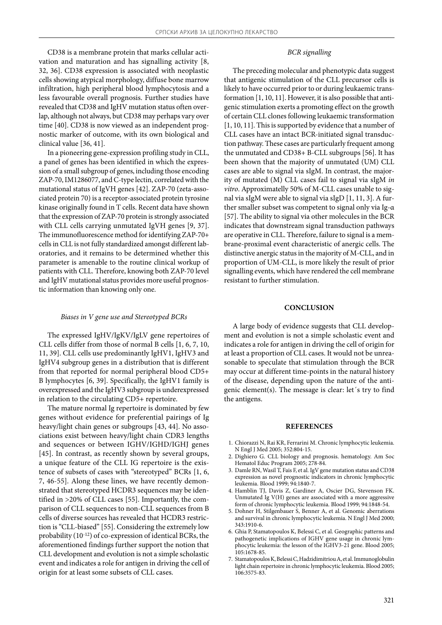CD38 is a membrane protein that marks cellular activation and maturation and has signalling activity [8, 32, 36]. CD38 expression is associated with neoplastic cells showing atypical morphology, diffuse bone marrow infiltration, high peripheral blood lymphocytosis and a less favourable overall prognosis. Further studies have revealed that CD38 and IgHV mutation status often overlap, although not always, but CD38 may perhaps vary over time [40]. CD38 is now viewed as an independent prognostic marker of outcome, with its own biological and clinical value [36, 41].

In a pioneering gene-expression profiling study in CLL, a panel of genes has been identified in which the expression of a small subgroup of genes, including those encoding ZAP-70, IM1286077, and C-type lectin, correlated with the mutational status of IgVH genes [42]. ZAP-70 (zeta-associated protein 70) is a receptor-associated protein tyrosine kinase originally found in T cells. Recent data have shown that the expression of ZAP-70 protein is strongly associated with CLL cells carrying unmutated IgVH genes [9, 37]. The immunofluorescence method for identifying ZAP-70+ cells in CLL is not fully standardized amongst different laboratories, and it remains to be determined whether this parameter is amenable to the routine clinical workup of patients with CLL. Therefore, knowing both ZAP-70 level and IgHV mutational status provides more useful prognostic information than knowing only one.

# *Biases in V gene use and Stereotyped BCRs*

The expressed IgHV/IgKV/IgLV gene repertoires of CLL cells differ from those of normal B cells [1, 6, 7, 10, 11, 39]. CLL cells use predominantly IgHV1, IgHV3 and IgHV4 subgroup genes in a distribution that is different from that reported for normal peripheral blood CD5+ B lymphocytes [6, 39]. Specifically, the IgHV1 family is overexpressed and the IgHV3 subgroup is underexpressed in relation to the circulating CD5+ repertoire.

The mature normal Ig repertoire is dominated by few genes without evidence for preferential pairings of Ig heavy/light chain genes or subgroups [43, 44]. No associations exist between heavy/light chain CDR3 lengths and sequences or between IGHV/IGHD/IGHJ genes [45]. In contrast, as recently shown by several groups, a unique feature of the CLL IG repertoire is the existence of subsets of cases with "stereotyped" BCRs [1, 6, 7, 46-55]. Along these lines, we have recently demonstrated that stereotyped HCDR3 sequences may be identified in >20% of CLL cases [55]. Importantly, the comparison of CLL sequences to non-CLL sequences from B cells of diverse sources has revealed that HCDR3 restriction is "CLL-biased" [55]. Considering the extremely low probability (10-12) of co-expression of identical BCRs, the aforementioned findings further support the notion that CLL development and evolution is not a simple scholastic event and indicates a role for antigen in driving the cell of origin for at least some subsets of CLL cases.

# *BCR signalling*

The preceding molecular and phenotypic data suggest that antigenic stimulation of the CLL precursor cells is likely to have occurred prior to or during leukaemic transformation [1, 10, 11]. However, it is also possible that antigenic stimulation exerts a promoting effect on the growth of certain CLL clones following leukaemic transformation [1, 10, 11]. This is supported by evidence that a number of CLL cases have an intact BCR-initiated signal transduction pathway. These cases are particularly frequent among the unmutated and CD38+ B-CLL subgroups [56]. It has been shown that the majority of unmutated (UM) CLL cases are able to signal via sIgM. In contrast, the majority of mutated (M) CLL cases fail to signal via sIgM *in vitro*. Approximatelly 50% of M-CLL cases unable to signal via sIgM were able to signal via sIgD [1, 11, 3]. A further smaller subset was competent to signal only via Ig-α [57]. The ability to signal via other molecules in the BCR indicates that downstream signal transduction pathways are operative in CLL. Therefore, failure to signal is a membrane-proximal event characteristic of anergic cells. The distinctive anergic status in the majority of M-CLL, and in proportion of UM-CLL, is more likely the result of prior signalling events, which have rendered the cell membrane resistant to further stimulation.

### **CONCLUSION**

A large body of evidence suggests that CLL development and evolution is not a simple scholastic event and indicates a role for antigen in driving the cell of origin for at least a proportion of CLL cases. It would not be unreasonable to speculate that stimulation through the BCR may occur at different time-points in the natural history of the disease, depending upon the nature of the antigenic element(s). The message is clear: let´s try to find the antigens.

#### **REFERENCES**

- 1. Chiorazzi N, Rai KR, Ferrarini M. Chronic lymphocytic leukemia. N Engl J Med 2005; 352:804-15.
- 2. Dighiero G. CLL biology and prognosis. hematology. Am Soc Hematol Educ Program 2005; 278-84.
- 3. Damle RN, Wasil T, Fais F, et al. IgV gene mutation status and CD38 expression as novel prognostic indicators in chronic lymphocytic leukemia. Blood 1999; 94:1840-7.
- 4. Hamblin TJ, Davis Z, Gardiner A, Oscier DG, Stevenson FK. Unmutated Ig V(H) genes are associated with a more aggressive form of chronic lymphocytic leukemia. Blood 1999; 94:1848-54.
- 5. Dohner H, Stilgenbauer S, Benner A, et al. Genomic aberrations and survival in chronic lymphocytic leukemia. N Engl J Med 2000; 343:1910-6.
- 6. Ghia P, Stamatopoulos K, Belessi C, et al. Geographic patterns and pathogenetic implications of IGHV gene usage in chronic lymphocytic leukemia: the lesson of the IGHV3-21 gene. Blood 2005; 105:1678-85.
- 7. Stamatopoulos K, Belessi C, Hadzidimitriou A, et al. Immunoglobulin light chain repertoire in chronic lymphocytic leukemia. Blood 2005; 106:3575-83.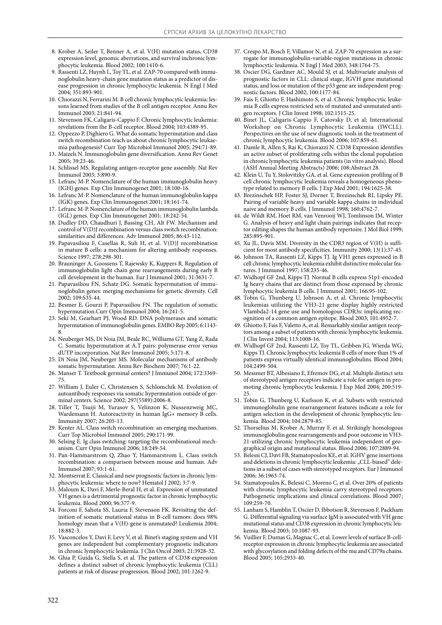- 8. Krober A, Seiler T, Benner A, et al. V(H) mutation status, CD38 expression level, genomic aberrations, and survival inchronic lymphocytic leukemia. Blood 2002; 100:1410-6.
- 9. Rassenti LZ, Huynh L, Toy TL, et al. ZAP-70 compared with immunoglobulin heavy-chain gene mutation status as a predictor of disease progression in chronic lymphocytic leukemia. N Engl J Med 2004; 351:893-901.
- 10. Chiorazzi N, Ferrarini M. B cell chronic lymphocytic leukemia: lessons learned from studies of the B cell antigen receptor. Annu Rev Immunol 2003; 21:841-94.
- 11. Stevenson FK, Caligaris-Cappio F. Chronic lymphocytic leukemia: revelations from the B-cell receptor. Blood 2004; 103:4389-95.
- 12. Oppezzo P, Dighiero G. What do somatic hypermutation and class switch recombination teach us about chronic lymphocytic leukaemia pathogenesis? Curr Top Microbiol Immunol 2005; 294:71-89.
- 13. Maizels N. Immunoglobulin gene diversification. Annu Rev Genet 2005; 39:23-46.
- 14. Schlissel MS. Regulating antigen-receptor gene assembly. Nat Rev Immunol 2003; 3:890-9.
- 15. Lefranc M-P. Nomenclature of the human immunoglobulin heavy (IGH) genes. Exp Clin Immunogenet 2001; 18:100-16.
- 16. Lefranc M-P. Nomenclature of the human immunoglobulin kappa (IGK) genes. Exp Clin Immunogenet 2001; 18:161-74.
- 17. Lefranc M-P. Nomenclature of the human immunoglobulin lambda (IGL) genes. Exp Clin Immunogenet 2001; 18:242-54.
- 18. Dudley DD, Chaudhuri J, Bassing CH, Alt FW. Mechanism and control of V(D)J recombination versus class switch recombination: similarities and differences. Adv Immunol 2005; 86:43-112.
- 19. Papavasiliou F, Casellas R, Suh H, et al. V(D)J recombination in mature B cells: a mechanism for altering antibody responses. Science 1997; 278:298-301.
- 20. Brauninger A, Goossens T, Rajewsky K, Kuppers R. Regulation of immunoglobulin light chain gene rearrangements during early B cell development in the human. Eur J Immunol 2001; 31:3631-7.
- 21. Papavasiliou FN, Schatz DG. Somatic hypermutation of immunoglobulin genes: merging mechanisms for genetic diversity. Cell 2002; 109:S35-44.
- 22. Besmer E, Gourzi P, Papavasiliou FN. The regulation of somatic hypermutation.Curr Opin Immunol 2004; 16:241-5.
- 23. Seki M, Gearhart PJ, Wood RD. DNA polymerases and somatic hypermutation of immunoglobulin genes. EMBO Rep 2005; 6:1143- 8.
- 24. Neuberger MS, Di Noia JM, Beale RC, Williams GT, Yang Z, Rada C. Somatic hypermutation at A.T pairs: polymerase error versus dUTP incorporation. Nat Rev Immunol 2005; 5:171-8.
- 25. Di Noia JM, Neuberger MS. Molecular mechanisms of antibody somatic hypermutation. Annu Rev Biochem 2007; 76:1-22.
- 26. Manser T. Textbook germinal centers? J Immunol 2004; 172:3369- 75.
- 27. William J, Euler C, Christensen S, Schlomchik M. Evolution of autoantibody responses via somatic hypermutation outside of germinal centers. Science 2002; 297(5589):2006-8.
- 28. Tiller T, Tsuiji M, Yurasov S, Velinzon K, Nussenzweig MC, Wardemann H. Autoreactivity in human IgG+ memory B cells. Immunity 2007; 26:205-13.
- 29. Kenter AL. Class switch recombination: an emerging mechanism. Curr Top Microbiol Immunol 2005; 290:171-99.
- 30. Selsing E. Ig class switching: targeting the recombinational mechanism. Curr Opin Immunol 2006; 18:249-54.
- 31. Pan-Hammarstrom Q, Zhao Y, Hammarstrom L. Class switch recombination: a comparison between mouse and human. Adv Immunol 2007; 93:1-61.
- 32. Montserrat E. Classical and new prognostic factors in chronic lymphocytic leukemia: where to now? Hematol J 2002; 3:7-9.
- 33. Maloum K, Davi F, Merle-Beral H, et al. Expression of unmutated VH genes is a detrimental prognostic factor in chronic lymphocytic leukemia. Blood 2000; 96:377-9.
- 34. Forconi F, Sahota SS, Lauria F, Stevenson FK. Revisiting the definition of somatic mutational status in B-cell tumors: does 98% homology mean that a V(H)-gene is unmutated? Leukemia 2004; 18:882-3.
- 35. Vasconcelos Y, Davi F, Levy V, et al. Binet's staging system and VH genes are independent but complementary prognostic indicators in chronic lymphocytic leukemia. J Clin Oncol 2003; 21:3928-32.
- 36. Ghia P, Guida G, Stella S, et al. The pattern of CD38 expression defines a distinct subset of chronic lymphocytic leukemia (CLL) patients at risk of disease progression. Blood 2002; 101:1262-9.
- 37. Crespo M, Bosch F, Villamor N, et al. ZAP-70 expression as a surrogate for immunoglobulin-variable-region mutations in chronic lymphocytic leukemia. N Engl J Med 2003; 348:1764-75.
- 38. Oscier DG, Gardiner AC, Mould SJ, et al. Multivariate analysis of prognostic factors in CLL: clinical stage, IGVH gene mutational status, and loss or mutation of the p53 gene are independent prognostic factors. Blood 2002; 100:1177-84.
- 39. Fais F, Ghiotto F, Hashimoto S, et al. Chronic lymphocytic leukemia B cells express restricted sets of mutated and unmutated antigen receptors. J Clin Invest 1998; 102:1515-25.
- 40. Binet JL, Caligaris-Cappio F, Catovsky D, et al; International Workshop on Chronic Lymphocytic Leukemia (IWCLL). Perspectives on the use of new diagnostic tools in the treatment of chronic lymphocytic leukemia. Blood 2006; 107:859-61.
- 41. Damle R, Allen S, Rai K, Chiorazzi N. CD38 Expression identifies an active subset of proliferating cells within the clonal population in chronic lymphocytic leukemia patients (in vitro analysis). Blood (ASH Annual Meeting Abstracts) 2006; 108:Abstract 28.
- 42. Klein U, Tu Y, Stolovitzky GA, et al. Gene expression profiling of B cell chronic lymphocytic leukemia reveals a homogeneous phenotype related to memory B cells. J Exp Med 2001; 194:1625-38.
- 43. Brezinschek HP, Foster SJ, Dorner T, Brezinschek RI, Lipsky PE. Pairing of variable heavy and variable kappa chains in individual naive and memory B cells. J Immunol 1998; 160:4762-7.
- 44. de Wildt RM, Hoet RM, van Venrooij WJ, Tomlinson IM, Winter G. Analysis of heavy and light chain pairings indicates that receptor editing shapes the human antibody repertoire. J Mol Biol 1999; 285:895-901.
- 45. Xu JL, Davis MM. Diversity in the CDR3 region of V(H) is sufficient for most antibody specificities. Immunity 2000; 13(1):37-45.
- 46. Johnson TA, Rassenti LZ, Kipps TJ. Ig VH1 genes expressed in B cell chronic lymphocytic leukemia exhibit distinctive molecular features. J Immunol 1997; 158:235-46.
- 47. Widhopf GF 2nd, Kipps TJ. Normal B cells express 51p1-encoded Ig heavy chains that are distinct from those expressed by chronic lymphocytic leukemia B cells. J Immunol 2001; 166:95-102.
- 48. Tobin G, Thunberg U, Johnson A, et al. Chronic lymphocytic leukemias utilizing the VH3-21 gene display highly restricted Vlambda2-14 gene use and homologous CDR3s: implicating recognition of a common antigen epitope. Blood 2003; 101:4952-7.
- 49. Ghiotto F, Fais F, Valetto A, et al. Remarkably similar antigen receptors among a subset of patients with chronic lymphocytic leukemia. J Clin Invest 2004; 113:1008-16.
- 49. Widhopf GF 2nd, Rassenti LZ, Toy TL, Gribben JG, Wierda WG, Kipps TJ. Chronic lymphocytic leukemia B cells of more than 1% of patients express virtually identical immunoglobulins. Blood 2004; 104:2499-504.
- 50. Messmer BT, Albesiano E, Efremov DG, et al. Multiple distinct sets of stereotyped antigen receptors indicate a role for antigen in promoting chronic lymphocytic leukemia. J Exp Med 2004; 200:519- 25.
- 51. Tobin G, Thunberg U, Karlsson K, et al. Subsets with restricted immunoglobulin gene rearrangement features indicate a role for antigen selection in the development of chronic lymphocytic leukemia. Blood 2004; 104:2879-85.
- 52. Thorselius M, Krober A, Murray F, et al. Strikingly homologous immunoglobulin gene rearrangements and poor outcome in VH3- 21-utilizing chronic lymphocytic leukemia independent of geographical origin and mutational status. Blood 2006; 107:2889-94.
- 53. Belessi CJ, Davi FB, Stamatopoulos KE, et al. IGHV gene insertions and deletions in chronic lymphocytic leukemia: "CLL-biased" deletions in a subset of cases with stereotyped receptors. Eur J Immunol 2006; 36:1963-74.
- 54. Stamatopoulos K, Belessi C, Moreno C, et al. Over 20% of patients with chronic lymphocytic leukemia carry stereotyped receptors: Pathogenetic implications and clinical correlations. Blood 2007; 109:259-70.
- 55. Lanham S, Hamblin T, Oscier D, Ibbotson R, Stevenson F, Packham G. Differential signaling via surface IgM is associated with VH gene mutational status and CD38 expression in chronic lymphocytic leukemia. Blood 2003; 10:1087-93.
- 56. Vuillier F, Dumas G, Magnac C, et al. Lower levels of surface B-cellreceptor expression in chronic lymphocytic leukemia are associated with glycosylation and folding defects of the mu and CD79a chains. Blood 2005; 105:2933-40.